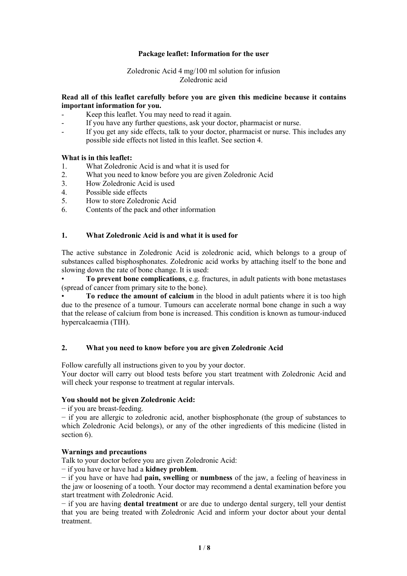### **Package leaflet: Information for the user**

#### Zoledronic Acid 4 mg/100 ml solution for infusion Zoledronic acid

## **Read all of this leaflet carefully before you are given this medicine because it contains important information for you.**

- Keep this leaflet. You may need to read it again.
- If you have any further questions, ask your doctor, pharmacist or nurse.
- If you get any side effects, talk to your doctor, pharmacist or nurse. This includes any possible side effects not listed in this leaflet. See section 4.

#### **What is in this leaflet:**

- 1. What Zoledronic Acid is and what it is used for
- 2. What you need to know before you are given Zoledronic Acid<br>3. How Zoledronic Acid is used
- How Zoledronic Acid is used
- 4. Possible side effects
- 5. How to store Zoledronic Acid
- 6. Contents of the pack and other information

## **1. What Zoledronic Acid is and what it is used for**

The active substance in Zoledronic Acid is zoledronic acid, which belongs to a group of substances called bisphosphonates. Zoledronic acid works by attaching itself to the bone and slowing down the rate of bone change. It is used:

• **To prevent bone complications**, e.g. fractures, in adult patients with bone metastases (spread of cancer from primary site to the bone).

• **To reduce the amount of calcium** in the blood in adult patients where it is too high due to the presence of a tumour. Tumours can accelerate normal bone change in such a way that the release of calcium from bone is increased. This condition is known as tumour-induced hypercalcaemia (TIH).

#### **2. What you need toknow before you are given Zoledronic Acid**

Follow carefully all instructions given to you by your doctor.

Your doctor will carry out blood tests before you start treatment with Zoledronic Acid and will check your response to treatment at regular intervals.

#### **You should not be given Zoledronic Acid:**

− if you are breast-feeding.

− if you are allergic to zoledronic acid, another bisphosphonate (the group of substances to which Zoledronic Acid belongs), or any of the other ingredients of this medicine (listed in section 6).

#### **Warnings and precautions**

Talk to your doctor before you are given Zoledronic Acid:

− if you have orhave had a **kidney problem**.

− if you have or have had **pain, swelling** or **numbness** of the jaw, a feeling of heaviness in the jaw or loosening of a tooth. Your doctor may recommend a dental examination before you start treatment with Zoledronic Acid.

− if you are having **dental treatment** or are due to undergo dental surgery, tell your dentist that you are being treated with Zoledronic Acid and inform your doctor about your dental treatment.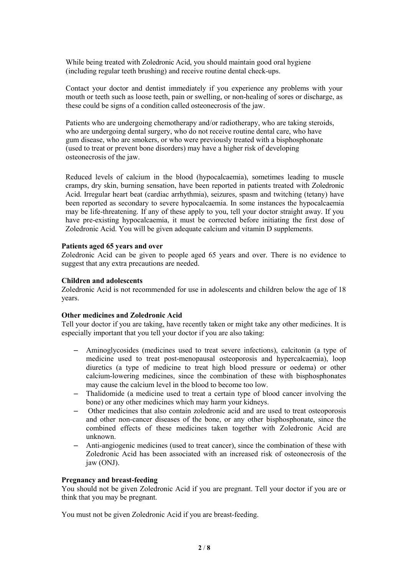While being treated with Zoledronic Acid, you should maintain good oral hygiene (including regular teeth brushing) and receive routine dental check-ups.

Contact your doctor and dentist immediately if you experience any problems with your mouth or teeth such as loose teeth, pain or swelling, or non-healing of sores or discharge, as these could be signs of a condition called osteonecrosis of the jaw.

Patients who are undergoing chemotherapy and/or radiotherapy, who are taking steroids, who are undergoing dental surgery, who do not receive routine dental care, who have gum disease, whoare smokers, or who were previously treated with a bisphosphonate (used to treat or prevent bone disorders) may have a higher risk of developing osteonecrosis of the jaw.

Reduced levels of calcium in the blood (hypocalcaemia), sometimes leading to muscle cramps, dry skin, burning sensation, have been reported in patients treated with Zoledronic Acid. Irregular heart beat (cardiac arrhythmia), seizures, spasm and twitching (tetany) have been reported as secondary to severe hypocalcaemia. In some instances the hypocalcaemia may be life-threatening. If any of these apply to you, tell your doctor straight away. If you have pre-existing hypocalcaemia, it must be corrected before initiating the first dose of Zoledronic Acid. You will be given adequate calcium and vitamin D supplements.

#### **Patients aged 65 years and over**

Zoledronic Acid can be given to people aged 65 years and over. There is no evidence to suggest that any extra precautions are needed.

#### **Children and adolescents**

Zoledronic Acid is not recommended for use in adolescents and children below the age of 18 years.

#### **Other medicines and Zoledronic Acid**

Tell your doctor if you are taking, have recently taken or might take any other medicines. It is especially important that you tell your doctor if you are also taking:

- Aminoglycosides (medicines used to treat severe infections), calcitonin (a type of medicine used to treat post-menopausal osteoporosis and hypercalcaemia), loop diuretics (a type of medicine to treat high blood pressure or oedema) or other calcium-lowering medicines, since the combination of these with bisphosphonates may cause the calcium level in the blood to become too low.
- Thalidomide (a medicine used to treat a certain type of blood cancer involving the bone) or any other medicines which may harm your kidneys.
- Other medicines that also contain zoledronic acid and are used to treat osteoporosis and other non-cancer diseases of the bone, or any other bisphosphonate, since the combined effects of these medicines taken together with Zoledronic Acid are unknown.
- Anti-angiogenic medicines (used to treat cancer), since the combination of these with Zoledronic Acid has been associated with an increased risk of osteonecrosis of the jaw (ONJ).

#### **Pregnancy and breast-feeding**

You should not be given Zoledronic Acid if you are pregnant. Tell your doctor if you are or think that you may be pregnant.

You must not be given Zoledronic Acid if you are breast-feeding.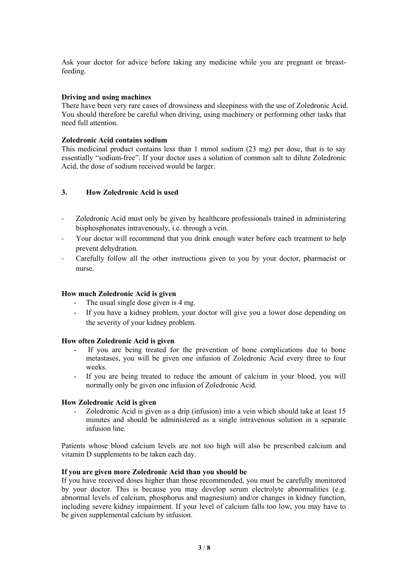Ask your doctor for advice before taking any medicine while you are pregnant or breastfeeding.

## **Driving and using machines**

There have been very rare cases of drowsiness and sleepiness with the use of Zoledronic Acid. You should therefore be careful when driving, using machinery or performing other tasks that need full attention.

### **Zoledronic Acid contains sodium**

This medicinal product contains less than 1 mmol sodium (23 mg) per dose, that is to say essentially "sodium-free". If your doctor uses a solution of common salt to dilute Zoledronic Acid, the dose of sodium received would be larger.

## **3. How Zoledronic Acid is used**

- Zoledronic Acid must only be given by healthcare professionals trained in administering bisphosphonates intravenously, i.e. through a vein.
- Your doctor will recommend that you drink enough water before each treatment to help prevent dehydration.
- Carefully follow all the other instructions given to you by your doctor, pharmacist or nurse.

#### **How much Zoledronic Acid is given**

- The usual single dose given is 4 mg.
- If you have a kidney problem, your doctor will give you a lower dose depending on the severity of your kidney problem.

#### **How often Zoledronic Acid is given**

- If you are being treated for the prevention of bone complications due to bone metastases, you will be given one infusion of Zoledronic Acid every three to four weeks.
- If you are being treated to reduce the amount of calcium in your blood, you will normally only be given one infusion of Zoledronic Acid.

#### **How Zoledronic Acid is given**

- Zoledronic Acid is given as a drip (infusion) into a vein which should take at least 15 minutes and should be administered as a single intravenous solution in a separate infusion line.

Patients whose blood calcium levels are not too high will also be prescribed calcium and vitamin D supplements to be taken each day.

#### **If you are given more Zoledronic Acid than you should be**

If you have received doses higher than those recommended, you must be carefully monitored by your doctor. This is because you may develop serum electrolyte abnormalities (e.g. abnormal levels of calcium, phosphorus and magnesium) and/or changes in kidney function, including severe kidney impairment. If your level of calcium falls too low, you may have to be given supplemental calcium by infusion.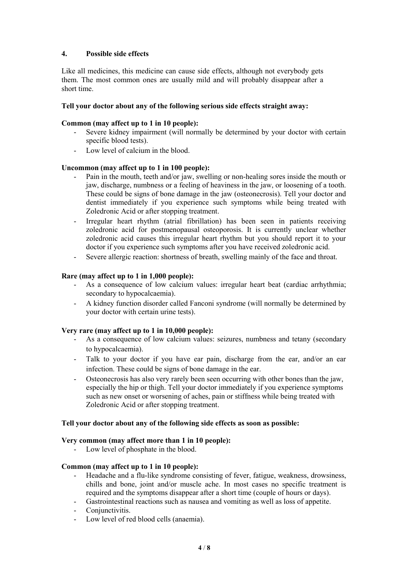## **4. Possible side effects**

Like all medicines, this medicine can cause side effects, although not everybody gets them. The most common ones are usually mild and will probably disappear after a short time.

### **Tell your doctor about any of the following serious side effects straight away:**

### **Common (may affect up to1 in 10 people):**

- Severe kidney impairment (will normally be determined by your doctor with certain specific blood tests).
- Low level of calcium in the blood.

## **Uncommon (may affect up to1 in 100 people):**

- Pain in the mouth, teeth and/or jaw, swelling or non-healing sores inside the mouth or jaw, discharge, numbness or a feeling of heaviness in the jaw, or loosening of a tooth. These could be signs of bone damage in the jaw (osteonecrosis). Tell your doctor and dentist immediately if you experience such symptoms while being treated with Zoledronic Acid or after stopping treatment.
- Irregular heart rhythm (atrial fibrillation) has been seen in patients receiving zoledronic acid for postmenopausal osteoporosis. It is currently unclear whether zoledronic acid causes this irregular heart rhythm but you should report it to your doctor if you experience such symptoms after you have received zoledronic acid.
- Severe allergic reaction: shortness of breath, swelling mainly of the face and throat.

#### **Rare (may affect up to1 in 1,000 people):**

- As a consequence of low calcium values: irregular heart beat (cardiac arrhythmia; secondary to hypocalcaemia).
- A kidney function disorder called Fanconi syndrome (will normally be determined by your doctor with certain urine tests).

#### **Very rare (may affect up to 1 in 10,000 people):**

- As a consequence of low calcium values: seizures, numbness and tetany (secondary to hypocalcaemia).
- Talk to your doctor if you have ear pain, discharge from the ear, and/or an ear infection. These could be signs of bone damage in the ear.
- Osteonecrosis has also very rarely been seen occurring with other bones than the jaw, especially the hip or thigh. Tell your doctor immediately if you experience symptoms such as new onset or worsening of aches, pain or stiffness while being treated with Zoledronic Acid or after stopping treatment.

#### **Tell your doctor about any of the following side effects as soon as possible:**

#### **Very common (may affect more than 1 in 10 people):**

Low level of phosphate in the blood.

#### **Common (may affect up to1 in 10 people):**

- Headache and a flu-like syndrome consisting of fever, fatigue, weakness, drowsiness, chills and bone, joint and/or muscle ache. In most cases no specific treatment is required and the symptoms disappear after a short time (couple of hours or days).
- Gastrointestinal reactions such as nausea and vomiting as well as loss of appetite.
- Conjunctivitis.
- Low level of red blood cells (anaemia).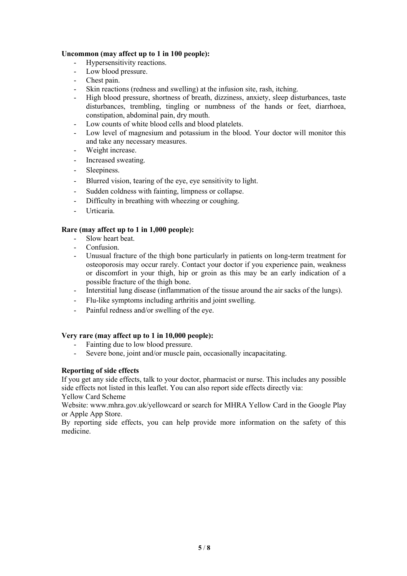## **Uncommon (may affect up to1 in 100 people):**

- Hypersensitivity reactions.
- Low blood pressure.<br>- Chest nain.
- Chest pain.
- Skin reactions (redness and swelling) at the infusion site, rash, itching.
- High blood pressure, shortness of breath, dizziness, anxiety, sleep disturbances, taste disturbances, trembling, tingling or numbness of the hands or feet, diarrhoea, constipation, abdominal pain, dry mouth.
- Low counts of white blood cells and blood platelets.
- Low level of magnesium and potassium in the blood. Your doctor will monitor this and take any necessary measures.
- Weight increase.
- Increased sweating.
- Sleepiness.
- Blurred vision, tearing of the eye, eye sensitivity to light.
- Sudden coldness with fainting, limpness or collapse.
- Difficulty in breathing with wheezing or coughing.
- Urticaria.

#### **Rare (may affect up to 1 in 1,000 people):**

- Slow heart beat.
- Confusion.
- Unusual fracture of the thigh bone particularly in patients on long-term treatment for osteoporosis may occur rarely. Contact your doctor if you experience pain, weakness or discomfort in your thigh, hip or groin as this may be an early indication of a possible fracture of the thigh bone.
- Interstitial lung disease (inflammation of the tissue around the air sacks of the lungs).
- Flu-like symptoms including arthritis and joint swelling.
- Painful redness and/or swelling of the eye.

#### **Very rare (may affect up to 1 in 10,000 people):**

- Fainting due to low blood pressure.
- Severe bone, joint and/or muscle pain, occasionally incapacitating.

#### **Reporting of side effects**

If you get any side effects, talk to your doctor, pharmacist or nurse. This includes any possible side effects not listed in this leaflet.You can also report side effects directly via: Yellow Card Scheme

Website: www.mhra.gov.uk/yellowcard or search for MHRA Yellow Card in the Google Play or Apple App Store.

By reporting side effects, you can help provide more information on the safety of this medicine.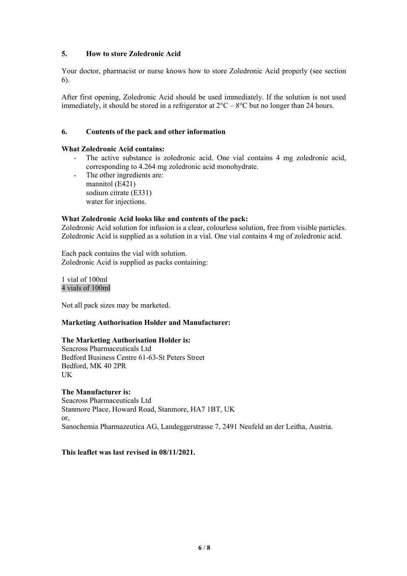## **5. How to store Zoledronic Acid**

Your doctor, pharmacist or nurse knows how to store Zoledronic Acid properly (see section 6).

After first opening, Zoledronic Acid should be used immediately. If the solution is not used immediately, it should be stored in a refrigerator at  $2^{\circ}C - 8^{\circ}C$  but no longer than 24 hours.

## **6. Contents ofthe pack and other information**

## **What Zoledronic Acid contains:**

- The active substance is zoledronic acid. One vial contains 4 mg zoledronic acid, corresponding to 4.264 mg zoledronic acid monohydrate.
- The other ingredients are: mannitol (E421) sodium citrate (E331) water for injections.

#### **What Zoledronic Acid looks like** and **contents** of the pack:

Zoledronic Acid solution for infusion is a clear, colourless solution, free from visible particles. Zoledronic Acid is supplied as a solution in a vial. One vial contains 4 mg of zoledronic acid.

Each pack contains the vial with solution. Zoledronic Acid is supplied as packs containing:

## 1 vial of 100ml 4 vials of 100ml

Not all pack sizes may be marketed.

#### **Marketing Authorisation Holder and Manufacturer:**

## **The Marketing Authorisation Holder is:**

Seacross Pharmaceuticals Ltd Bedford Business Centre 61-63-St Peters Street Bedford, MK 40 2PR UK **UK** 

#### **The Manufacturer is:**

Seacross Pharmaceuticals Ltd Stanmore Place, Howard Road, Stanmore, HA7 1BT, UK or, Sanochemia Pharmazeutica AG, Landeggerstrasse 7, 2491 Neufeld an der Leitha, Austria.

**This leaflet was last revised in 08/11/2021.**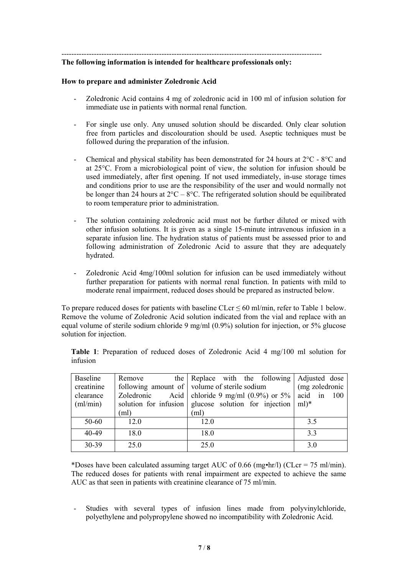# --------------------------------------------------------------------------------------------------------

## **The following information is intended for healthcare professionals only:**

#### **How to prepare and administer Zoledronic Acid**

- Zoledronic Acid contains 4 mg of zoledronic acid in 100 mlof infusion solution for immediate use in patients with normal renal function.
- For single use only. Any unused solution should be discarded. Only clear solution free from particles and discolouration should be used. Aseptic techniques must be followed during the preparation of the infusion.
- Chemical and physical stability has been demonstrated for 24 hours at  $2^{\circ}$ C  $8^{\circ}$ C and at 25°C. From a microbiological point of view, the solution for infusion should be used immediately, after first opening. If not used immediately, in-use storage times and conditions prior to use are the responsibility of the user and would normally not be longer than 24 hours at  $2^{\circ}\text{C} - 8^{\circ}\text{C}$ . The refrigerated solution should be equilibrated to room temperature prior to administration.
- The solution containing zoledronic acid must not be further diluted or mixed with other infusion solutions. It is given as a single 15-minute intravenous infusion in a separate infusion line. The hydration status of patients must be assessed prior to and following administration of Zoledronic Acid to assure that they are adequately hydrated.
- Zoledronic Acid 4mg/100ml solution for infusion can be used immediately without further preparation for patients with normal renal function. In patients with mild to moderate renal impairment, reduced doses should be prepared as instructed below.

To prepare reduced doses for patients with baseline CLcr  $\leq 60$  ml/min, refer to Table 1 below.<br>Remove the volume of Zoledronic Acid solution indicated from the vial and replace with an equal volume of sterile sodium chloride 9 mg/ml (0.9%) solution for injection, or 5% glucose solution for injection.

|          | Table 1: Preparation of reduced doses of Zoledronic Acid 4 mg/100 ml solution for |  |  |  |  |  |  |
|----------|-----------------------------------------------------------------------------------|--|--|--|--|--|--|
| infusion |                                                                                   |  |  |  |  |  |  |

| Baseline   | Remove | the Replace with the following Adjusted dose                              |                |
|------------|--------|---------------------------------------------------------------------------|----------------|
| creatinine |        | following amount of $\vert$ volume of sterile sodium                      | (mg zoledronic |
| clearance  |        | Zoledronic Acid chloride 9 mg/ml $(0.9\%)$ or 5% acid in 100              |                |
| ml/min)    |        | solution for infusion   glucose solution for injection $ m $ <sup>*</sup> |                |
|            | (ml)   | (ml)                                                                      |                |
| 50-60      | 12.0   | 12.0                                                                      | 3.5            |
| 40-49      | 18.0   | 18.0                                                                      | 3.3            |
| 30-39      | 25.0   | 25.0                                                                      | 3.0            |

\*Doses have been calculated assuming target AUC of 0.66 (mg•hr/l) (CLcr = 75 ml/min). The reduced doses for patients with renal impairment are expected to achieve the same AUC as that seen in patients with creatinine clearance of 75 ml/min.

Studies with several types of infusion lines made from polyvinylchloride, polyethylene and polypropylene showed no incompatibility with Zoledronic Acid.